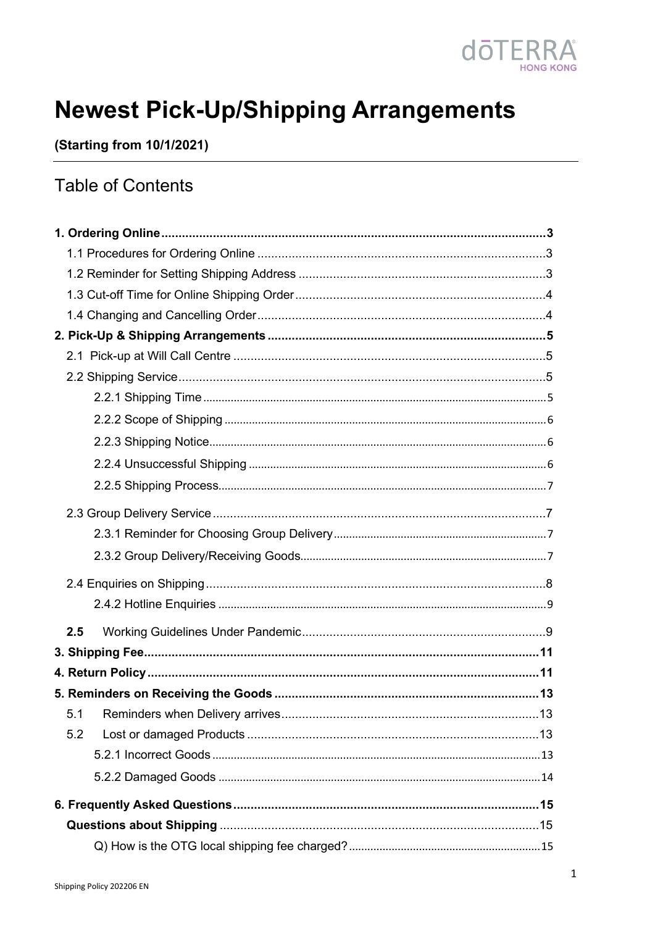

# **Newest Pick-Up/Shipping Arrangements**

(Starting from 10/1/2021)

## **Table of Contents**

| 2.5 |  |
|-----|--|
|     |  |
|     |  |
|     |  |
| 5.1 |  |
| 5.2 |  |
|     |  |
|     |  |
|     |  |
|     |  |
|     |  |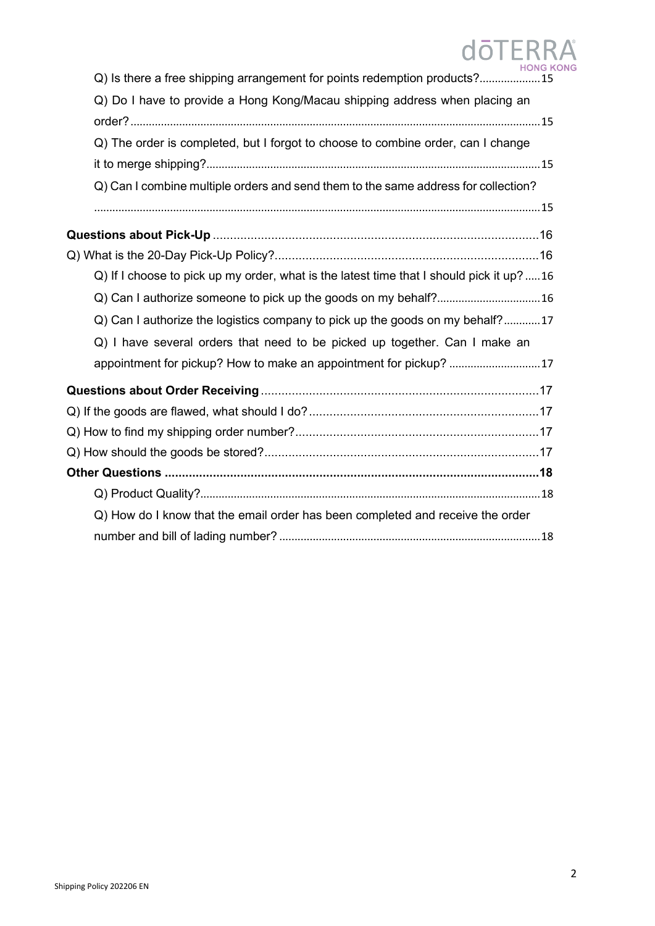| <b>HONG K</b><br>Q) Is there a free shipping arrangement for points redemption products?15 |
|--------------------------------------------------------------------------------------------|
| Q) Do I have to provide a Hong Kong/Macau shipping address when placing an                 |
|                                                                                            |
| Q) The order is completed, but I forgot to choose to combine order, can I change           |
|                                                                                            |
| Q) Can I combine multiple orders and send them to the same address for collection?         |
|                                                                                            |
|                                                                                            |
|                                                                                            |
| Q) If I choose to pick up my order, what is the latest time that I should pick it up?16    |
| Q) Can I authorize someone to pick up the goods on my behalf? 16                           |
| Q) Can I authorize the logistics company to pick up the goods on my behalf?17              |
| Q) I have several orders that need to be picked up together. Can I make an                 |
| appointment for pickup? How to make an appointment for pickup? 17                          |
|                                                                                            |
|                                                                                            |
|                                                                                            |
|                                                                                            |
|                                                                                            |
|                                                                                            |
| Q) How do I know that the email order has been completed and receive the order             |
|                                                                                            |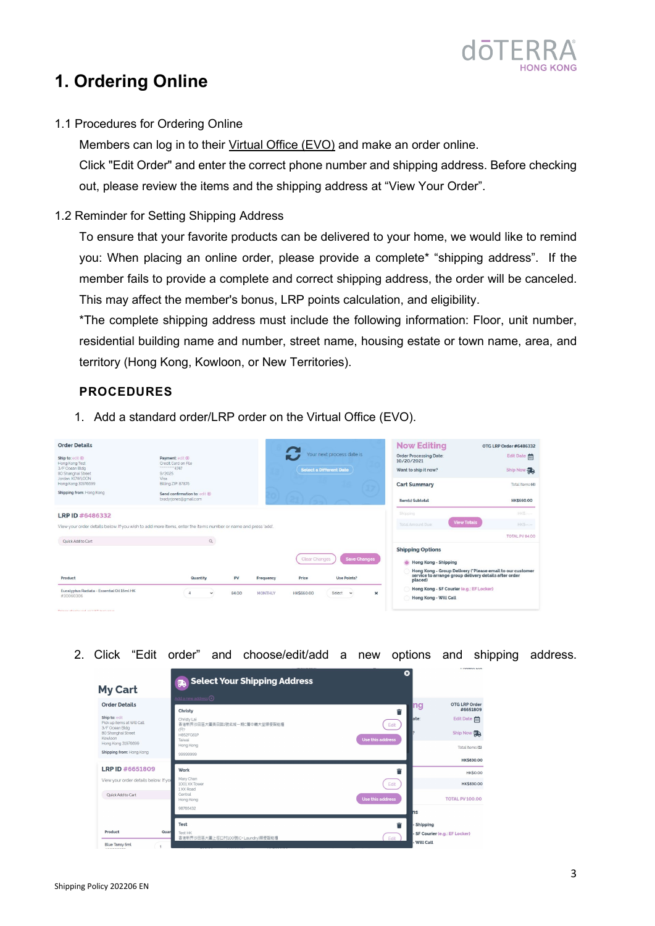

## <span id="page-2-0"></span>**1. Ordering Online**

<span id="page-2-1"></span>1.1 Procedures for Ordering Online

Members can log in to their [Virtual Office \(EVO\)](https://login.doterra.com/hk/zh-hk/sign-in) and make an order online. Click "Edit Order" and enter the correct phone number and shipping address. Before checking out, please review the items and the shipping address at "View Your Order".

<span id="page-2-2"></span>1.2 Reminder for Setting Shipping Address

To ensure that your favorite products can be delivered to your home, we would like to remind you: When placing an online order, please provide a complete\* "shipping address". If the member fails to provide a complete and correct shipping address, the order will be canceled. This may affect the member's bonus, LRP points calculation, and eligibility.

\*The complete shipping address must include the following information: Floor, unit number, residential building name and number, street name, housing estate or town name, area, and territory (Hong Kong, Kowloon, or New Territories).

### **PROCEDURES**

1. Add a standard order/LRP order on the Virtual Office (EVO).

| <b>Order Details</b><br>Ship to: edit <sup>®</sup><br>Hong Kong Test<br>3/F Ocean Bldg<br>80 Shanghai Street<br>Jordan KOWLOON<br>Hong Kong 31976699<br>Shipping from: Hong Kong | Payment: edit @<br>Credit Card on File<br>9/2025<br>Visa<br>Billing ZIP: 87876<br>Send confirmation to: eclit (b)<br>bradyrjones@gmail.com |       |                |                        | Your next process date is<br><b>Select a Different Date</b> |                           | <b>Now Editing</b><br><b>Order Processing Date:</b><br>10/20/2021<br>Want to ship it now?<br><b>Cart Summary</b><br><b>Item(s)</b> Subtotal | OTG LRP Order #6486332<br>Edit Date<br>Ship Now<br>Total Items (4)<br><b>HK\$660.00</b>                            |
|----------------------------------------------------------------------------------------------------------------------------------------------------------------------------------|--------------------------------------------------------------------------------------------------------------------------------------------|-------|----------------|------------------------|-------------------------------------------------------------|---------------------------|---------------------------------------------------------------------------------------------------------------------------------------------|--------------------------------------------------------------------------------------------------------------------|
| LRP ID #6486332<br>View your order details below. If you wish to add more items, enter the items number or name and press 'add'.<br>Oulck Add to Cart                            | $\mathbb{Q}$                                                                                                                               |       |                |                        |                                                             |                           | Shipping<br>Total Amount Due:                                                                                                               | HKS-<br><b>View Totals</b><br>HKS-<br>TOTAL PV 84.00                                                               |
| Product                                                                                                                                                                          | Quantity                                                                                                                                   | PV    | Frequency      | Clear Changes<br>Price | <b>Save Changes</b><br>Use Points?                          |                           | <b>Shipping Options</b><br><b>Hong Kong - Shipping</b><br>placed)                                                                           | Hong Kong - Group Delivery ('Please email to our customer<br>service to arrange group delivery details after order |
| Eucalyptus Radiata - Essential Oil 15ml HK<br>#30060306<br>Delang displayed as VAT leafurters.                                                                                   | $\Delta$<br>$\check{}$                                                                                                                     | 84.00 | <b>MONTHLY</b> | <b>HK\$660.00</b>      | Select<br>$\check{ }$                                       | $\boldsymbol{\mathsf{x}}$ | Hong Kong - SF Courier (e.g.: EF Locker)<br>Hong Kong - Will Call                                                                           |                                                                                                                    |

2. Click "Edit order" and choose/edit/add a new options and shipping address.

| <b>My Cart</b>                                                                                                                                                           | <b>B</b> Select Your Shipping Address<br>Add a new address $\odot$                                             | ☺                             |                                                                                                                  |
|--------------------------------------------------------------------------------------------------------------------------------------------------------------------------|----------------------------------------------------------------------------------------------------------------|-------------------------------|------------------------------------------------------------------------------------------------------------------|
| <b>Order Details</b><br>Ship to: edit<br>Pick up items at Will Call<br>3/F Ocean Bldg<br>80 Shanghai Street<br>Kowloon<br>Hong Kong 31976699<br>Shipping from: Hong Kong | Christy<br>Christy Lai<br>香港新界沙田區大圍美田路1號名城一期C層中轉大堂順便智能櫃<br>(문?<br>H852FG61P<br>Taiwai<br>Hong Kong<br>99999999 | Ê<br>Edit<br>Use this address | <b>OTG LRP Order</b><br>ng<br>#6651809<br>Edit Date<br>late:<br>Ship Now<br>Total Items (1)<br><b>HK\$830.00</b> |
| LRP ID #6651809                                                                                                                                                          | Work                                                                                                           | Ê                             | <b>HK\$0.00</b>                                                                                                  |
| View your order details below. If you                                                                                                                                    | Mary Chan<br>1001 XX Tower                                                                                     | Edit                          | <b>HK\$830.00</b>                                                                                                |
| Quick Add to Cart                                                                                                                                                        | 1 XX Road<br>Central<br>Hong Kong                                                                              | Use this address              | <b>TOTAL PV 100.00</b>                                                                                           |
|                                                                                                                                                                          | 98765432                                                                                                       |                               | hs                                                                                                               |
| Product<br>Quar                                                                                                                                                          | Test<br>Test HK<br>香港新界沙田區大圖上徑口村100號(C* Laundry)順便智能櫃                                                          | Ê<br>Edit                     | - Shipping<br>- SF Courier (e.g.: EF Locker)<br>- Will Call                                                      |
| Blue Tansy 5ml                                                                                                                                                           |                                                                                                                |                               |                                                                                                                  |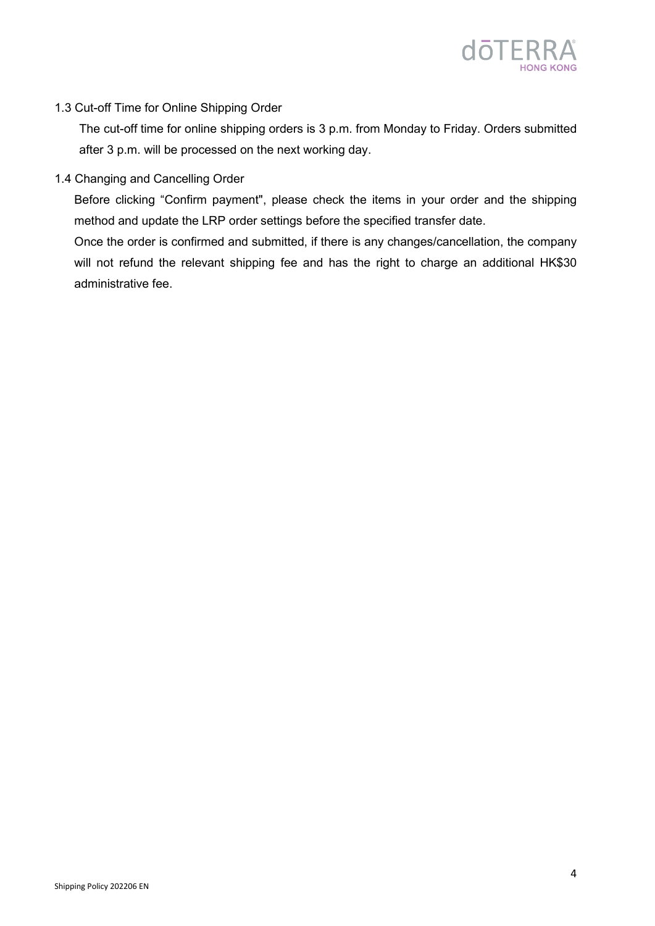

#### <span id="page-3-0"></span>1.3 Cut-off Time for Online Shipping Order

The cut-off time for online shipping orders is 3 p.m. from Monday to Friday. Orders submitted after 3 p.m. will be processed on the next working day.

<span id="page-3-1"></span>1.4 Changing and Cancelling Order

Before clicking "Confirm payment", please check the items in your order and the shipping method and update the LRP order settings before the specified transfer date.

Once the order is confirmed and submitted, if there is any changes/cancellation, the company will not refund the relevant shipping fee and has the right to charge an additional HK\$30 administrative fee.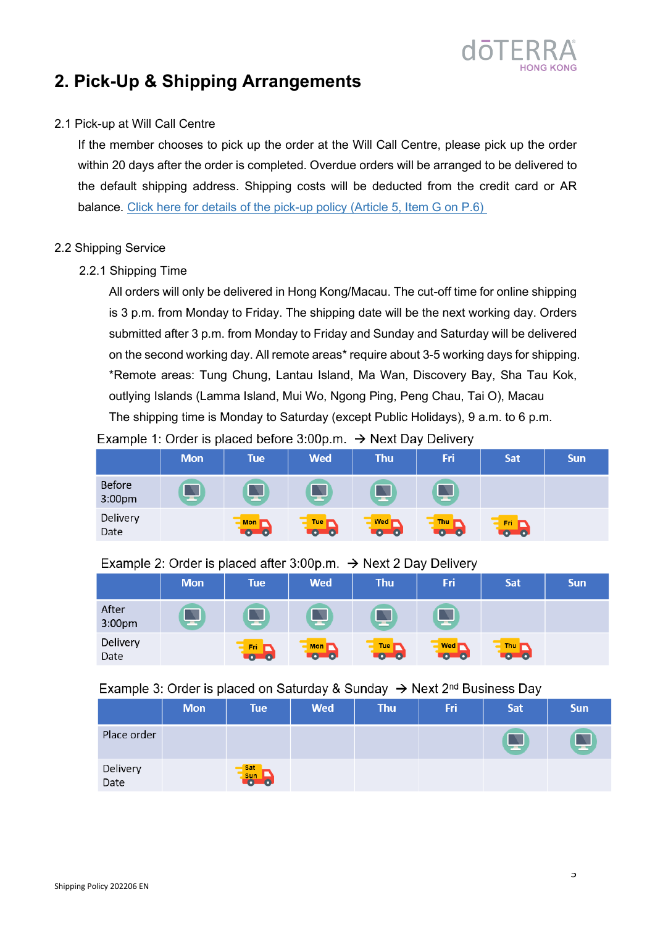

### <span id="page-4-0"></span>**2. Pick-Up & Shipping Arrangements**

#### <span id="page-4-1"></span>2.1 Pick-up at Will Call Centre

If the member chooses to pick up the order at the Will Call Centre, please pick up the order within 20 days after the order is completed. Overdue orders will be arranged to be delivered to the default shipping address. Shipping costs will be deducted from the credit card or AR balance. [Click here for details of the pick-up policy \(Article](https://media.doterra.com/hk-otg/en/brochures/policy-manual.pdf) 5, Item G on P.6)

#### <span id="page-4-3"></span><span id="page-4-2"></span>2.2 Shipping Service

#### 2.2.1 Shipping Time

All orders will only be delivered in Hong Kong/Macau. The cut-off time for online shipping is 3 p.m. from Monday to Friday. The shipping date will be the next working day. Orders submitted after 3 p.m. from Monday to Friday and Sunday and Saturday will be delivered on the second working day. All remote areas\* require about 3-5 working days for shipping. \*Remote areas: Tung Chung, Lantau Island, Ma Wan, Discovery Bay, Sha Tau Kok, outlying Islands (Lamma Island, Mui Wo, Ngong Ping, Peng Chau, Tai O), Macau The shipping time is Monday to Saturday (except Public Holidays), 9 a.m. to 6 p.m. Example 1: Order is placed before 3:00p.m.  $\rightarrow$  Next Day Delivery

|                         | <b>Mon</b> | <b>Tue</b>                               | <b>Wed</b>                   | <b>Thu</b>                      | Fri              | Sat                                                     | <b>Sun</b> |
|-------------------------|------------|------------------------------------------|------------------------------|---------------------------------|------------------|---------------------------------------------------------|------------|
| <b>Before</b><br>3:00pm |            |                                          | ≖                            |                                 | Δ<br>-           |                                                         |            |
| Delivery<br>Date        |            | <b>Mon</b><br>$\overline{\bullet}$<br>40 | <b>Tue</b><br>0 <sub>0</sub> | Wed <b>r</b><br>$\bullet$<br>-6 | Thu<br>$\bullet$ | Fri.<br>$\overline{\textbf{O}}$ $\overline{\textbf{O}}$ |            |

#### Example 2: Order is placed after 3:00p.m.  $\rightarrow$  Next 2 Day Delivery

|                  | <b>Mon</b> | <b>Tue</b> | <b>Wed</b>            | <b>Thu</b>      | Fri        | Sat               | <b>Sun</b> |
|------------------|------------|------------|-----------------------|-----------------|------------|-------------------|------------|
| After<br>3:00pm  | --         | .,         | ≖                     |                 | ≖          |                   |            |
| Delivery<br>Date |            | Fri.       | <b>Mon</b><br>$0 - 0$ | Tue <sub></sub> | <b>Wed</b> | Thu<br><b>TOL</b> |            |

#### Example 3: Order is placed on Saturday & Sunday  $\rightarrow$  Next 2<sup>nd</sup> Business Day

|                  | <b>Mon</b> | <b>Tue</b>               | <b>Wed</b> | <b>Thu</b> | Fri | Sat | <b>Sun</b> |
|------------------|------------|--------------------------|------------|------------|-----|-----|------------|
| Place order      |            |                          |            |            |     |     | 딬          |
| Delivery<br>Date |            | Sat<br><b>sun</b><br>Ξn. |            |            |     |     |            |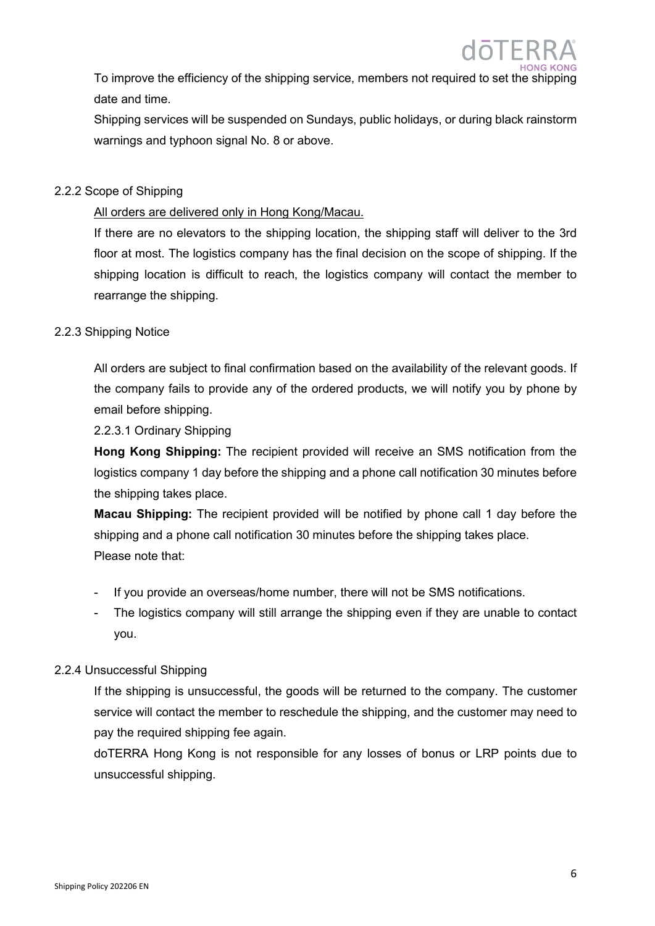To improve the efficiency of the shipping service, members not required to set the shipping date and time.

Shipping services will be suspended on Sundays, public holidays, or during black rainstorm warnings and typhoon signal No. 8 or above.

#### <span id="page-5-0"></span>2.2.2 Scope of Shipping

#### All orders are delivered only in Hong Kong/Macau.

If there are no elevators to the shipping location, the shipping staff will deliver to the 3rd floor at most. The logistics company has the final decision on the scope of shipping. If the shipping location is difficult to reach, the logistics company will contact the member to rearrange the shipping.

#### <span id="page-5-1"></span>2.2.3 Shipping Notice

All orders are subject to final confirmation based on the availability of the relevant goods. If the company fails to provide any of the ordered products, we will notify you by phone by email before shipping.

2.2.3.1 Ordinary Shipping

**Hong Kong Shipping:** The recipient provided will receive an SMS notification from the logistics company 1 day before the shipping and a phone call notification 30 minutes before the shipping takes place.

**Macau Shipping:** The recipient provided will be notified by phone call 1 day before the shipping and a phone call notification 30 minutes before the shipping takes place. Please note that:

- If you provide an overseas/home number, there will not be SMS notifications.
- The logistics company will still arrange the shipping even if they are unable to contact you.

#### <span id="page-5-2"></span>2.2.4 Unsuccessful Shipping

If the shipping is unsuccessful, the goods will be returned to the company. The customer service will contact the member to reschedule the shipping, and the customer may need to pay the required shipping fee again.

doTERRA Hong Kong is not responsible for any losses of bonus or LRP points due to unsuccessful shipping.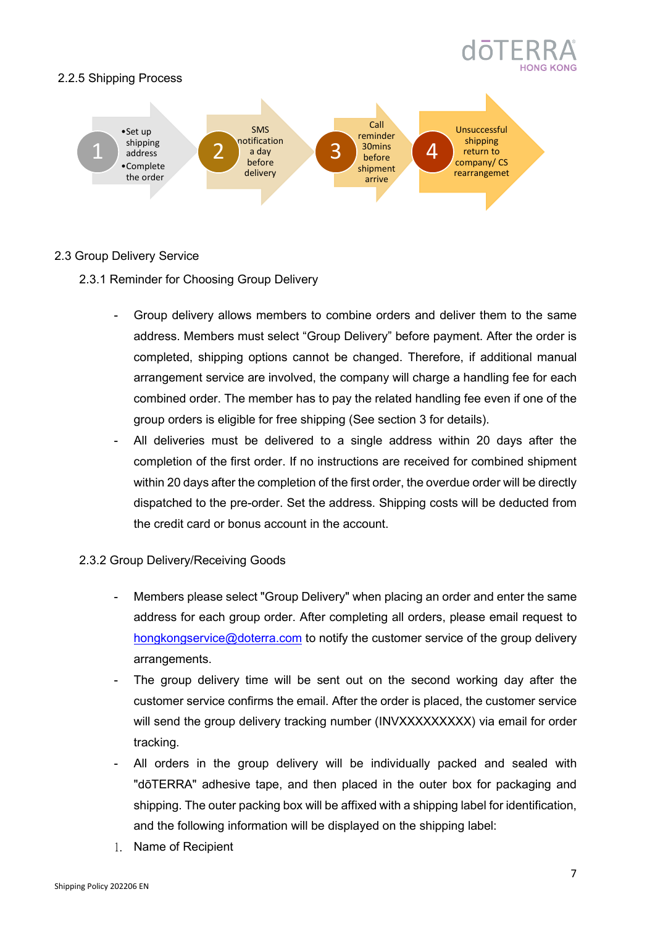

#### <span id="page-6-0"></span>2.2.5 Shipping Process



#### <span id="page-6-2"></span><span id="page-6-1"></span>2.3 Group Delivery Service

#### 2.3.1 Reminder for Choosing Group Delivery

- Group delivery allows members to combine orders and deliver them to the same address. Members must select "Group Delivery" before payment. After the order is completed, shipping options cannot be changed. Therefore, if additional manual arrangement service are involved, the company will charge a handling fee for each combined order. The member has to pay the related handling fee even if one of the group orders is eligible for free shipping (See section 3 for details).
- All deliveries must be delivered to a single address within 20 days after the completion of the first order. If no instructions are received for combined shipment within 20 days after the completion of the first order, the overdue order will be directly dispatched to the pre-order. Set the address. Shipping costs will be deducted from the credit card or bonus account in the account.

#### <span id="page-6-3"></span>2.3.2 Group Delivery/Receiving Goods

- Members please select "Group Delivery" when placing an order and enter the same address for each group order. After completing all orders, please email request to [hongkongservice@doterra.com](mailto:hongkongservice@doterra.com) to notify the customer service of the group delivery arrangements.
- The group delivery time will be sent out on the second working day after the customer service confirms the email. After the order is placed, the customer service will send the group delivery tracking number (INVXXXXXXXXX) via email for order tracking.
- All orders in the group delivery will be individually packed and sealed with "dōTERRA" adhesive tape, and then placed in the outer box for packaging and shipping. The outer packing box will be affixed with a shipping label for identification, and the following information will be displayed on the shipping label:
- 1. Name of Recipient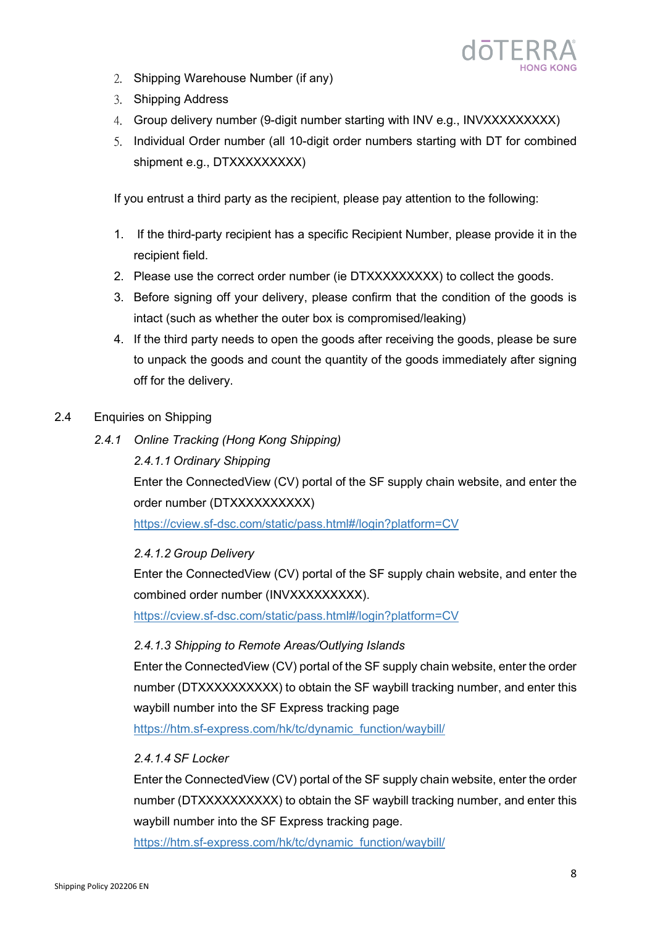

- 2. Shipping Warehouse Number (if any)
- 3. Shipping Address
- 4. Group delivery number (9-digit number starting with INV e.g., INVXXXXXXXXX)
- 5. Individual Order number (all 10-digit order numbers starting with DT for combined shipment e.g., DTXXXXXXXXXX

If you entrust a third party as the recipient, please pay attention to the following:

- 1. If the third-party recipient has a specific Recipient Number, please provide it in the recipient field.
- 2. Please use the correct order number (ie DTXXXXXXXXX) to collect the goods.
- 3. Before signing off your delivery, please confirm that the condition of the goods is intact (such as whether the outer box is compromised/leaking)
- 4. If the third party needs to open the goods after receiving the goods, please be sure to unpack the goods and count the quantity of the goods immediately after signing off for the delivery.
- <span id="page-7-0"></span>2.4 Enquiries on Shipping
	- *2.4.1 Online Tracking (Hong Kong Shipping) 2.4.1.1 Ordinary Shipping* Enter the ConnectedView (CV) portal of the SF supply chain website, and enter the order number (DTXXXXXXXXXX) <https://cview.sf-dsc.com/static/pass.html#/login?platform=CV>

*2.4.1.2 Group Delivery* 

Enter the ConnectedView (CV) portal of the SF supply chain website, and enter the combined order number (INVXXXXXXXXX).

<https://cview.sf-dsc.com/static/pass.html#/login?platform=CV>

#### *2.4.1.3 Shipping to Remote Areas/Outlying Islands*

Enter the ConnectedView (CV) portal of the SF supply chain website, enter the order number (DTXXXXXXXXXX) to obtain the SF waybill tracking number, and enter this waybill number into the SF Express tracking page

[https://htm.sf-express.com/hk/tc/dynamic\\_function/waybill/](https://htm.sf-express.com/hk/tc/dynamic_function/waybill/)

#### *2.4.1.4 SF Locker*

Enter the ConnectedView (CV) portal of the SF supply chain website, enter the order number (DTXXXXXXXXXX) to obtain the SF waybill tracking number, and enter this waybill number into the SF Express tracking page.

[https://htm.sf-express.com/hk/tc/dynamic\\_function/waybill/](https://htm.sf-express.com/hk/tc/dynamic_function/waybill/)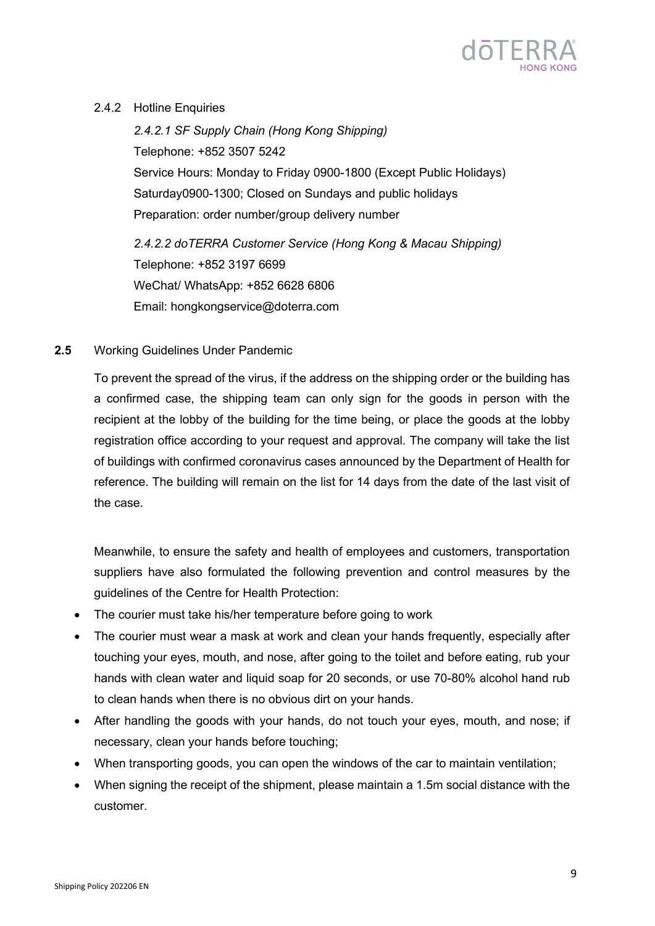

#### <span id="page-8-0"></span>2.4.2 Hotline Enquiries

*2.4.2.1 SF Supply Chain (Hong Kong Shipping)* Telephone: +852 3507 5242 Service Hours: Monday to Friday 0900-1800 (Except Public Holidays) Saturday0900-1300; Closed on Sundays and public holidays Preparation: order number/group delivery number

*2.4.2.2 doTERRA Customer Service (Hong Kong & Macau Shipping)* Telephone: +852 3197 6699 WeChat/ WhatsApp: +852 6628 6806 Email: [hongkongservice@doterra.com](mailto:hongkongservice@doterra.com)

#### <span id="page-8-1"></span>**2.5** Working Guidelines Under Pandemic

To prevent the spread of the virus, if the address on the shipping order or the building has a confirmed case, the shipping team can only sign for the goods in person with the recipient at the lobby of the building for the time being, or place the goods at the lobby registration office according to your request and approval. The company will take the list of buildings with confirmed coronavirus cases announced by the Department of Health for reference. The building will remain on the list for 14 days from the date of the last visit of the case.

Meanwhile, to ensure the safety and health of employees and customers, transportation suppliers have also formulated the following prevention and control measures by the guidelines of the Centre for Health Protection:

- The courier must take his/her temperature before going to work
- The courier must wear a mask at work and clean your hands frequently, especially after touching your eyes, mouth, and nose, after going to the toilet and before eating, rub your hands with clean water and liquid soap for 20 seconds, or use 70-80% alcohol hand rub to clean hands when there is no obvious dirt on your hands.
- After handling the goods with your hands, do not touch your eyes, mouth, and nose; if necessary, clean your hands before touching;
- When transporting goods, you can open the windows of the car to maintain ventilation;
- When signing the receipt of the shipment, please maintain a 1.5m social distance with the customer.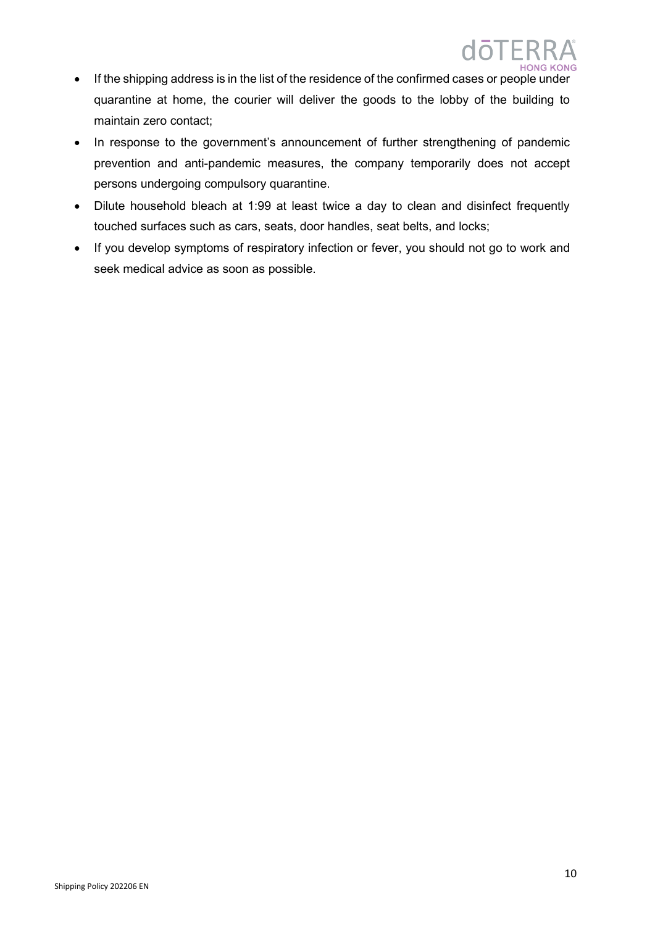- If the shipping address is in the list of the residence of the confirmed cases or people under quarantine at home, the courier will deliver the goods to the lobby of the building to maintain zero contact;
- In response to the government's announcement of further strengthening of pandemic prevention and anti-pandemic measures, the company temporarily does not accept persons undergoing compulsory quarantine.
- Dilute household bleach at 1:99 at least twice a day to clean and disinfect frequently touched surfaces such as cars, seats, door handles, seat belts, and locks;
- If you develop symptoms of respiratory infection or fever, you should not go to work and seek medical advice as soon as possible.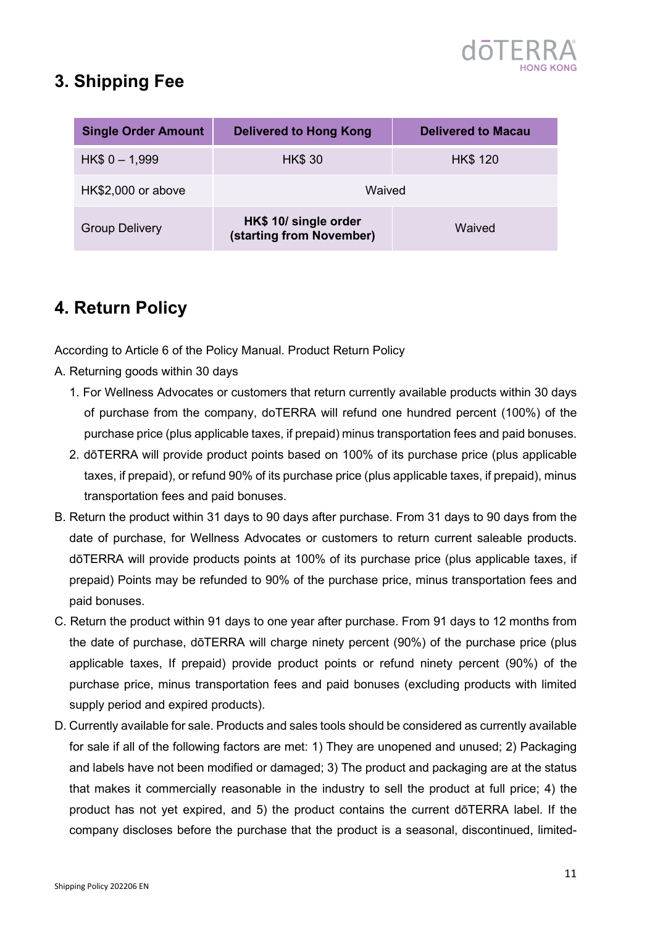

### <span id="page-10-0"></span>**3. Shipping Fee**

| <b>Single Order Amount</b> | <b>Delivered to Hong Kong</b><br><b>Delivered to Macau</b> |                 |  |  |
|----------------------------|------------------------------------------------------------|-----------------|--|--|
| $HK$0 - 1,999$             | <b>HK\$ 30</b>                                             | <b>HK\$ 120</b> |  |  |
| HK\$2,000 or above         | Waived                                                     |                 |  |  |
| <b>Group Delivery</b>      | HK\$ 10/ single order<br>(starting from November)          | Waived          |  |  |

### <span id="page-10-1"></span>**4. Return Policy**

According to Article 6 of the Policy Manual. Product Return Policy

- A. Returning goods within 30 days
	- 1. For Wellness Advocates or customers that return currently available products within 30 days of purchase from the company, doTERRA will refund one hundred percent (100%) of the purchase price (plus applicable taxes, if prepaid) minus transportation fees and paid bonuses.
	- 2. dōTERRA will provide product points based on 100% of its purchase price (plus applicable taxes, if prepaid), or refund 90% of its purchase price (plus applicable taxes, if prepaid), minus transportation fees and paid bonuses.
- B. Return the product within 31 days to 90 days after purchase. From 31 days to 90 days from the date of purchase, for Wellness Advocates or customers to return current saleable products. dōTERRA will provide products points at 100% of its purchase price (plus applicable taxes, if prepaid) Points may be refunded to 90% of the purchase price, minus transportation fees and paid bonuses.
- C. Return the product within 91 days to one year after purchase. From 91 days to 12 months from the date of purchase, dōTERRA will charge ninety percent (90%) of the purchase price (plus applicable taxes, If prepaid) provide product points or refund ninety percent (90%) of the purchase price, minus transportation fees and paid bonuses (excluding products with limited supply period and expired products).
- D. Currently available for sale. Products and sales tools should be considered as currently available for sale if all of the following factors are met: 1) They are unopened and unused; 2) Packaging and labels have not been modified or damaged; 3) The product and packaging are at the status that makes it commercially reasonable in the industry to sell the product at full price; 4) the product has not yet expired, and 5) the product contains the current dōTERRA label. If the company discloses before the purchase that the product is a seasonal, discontinued, limited-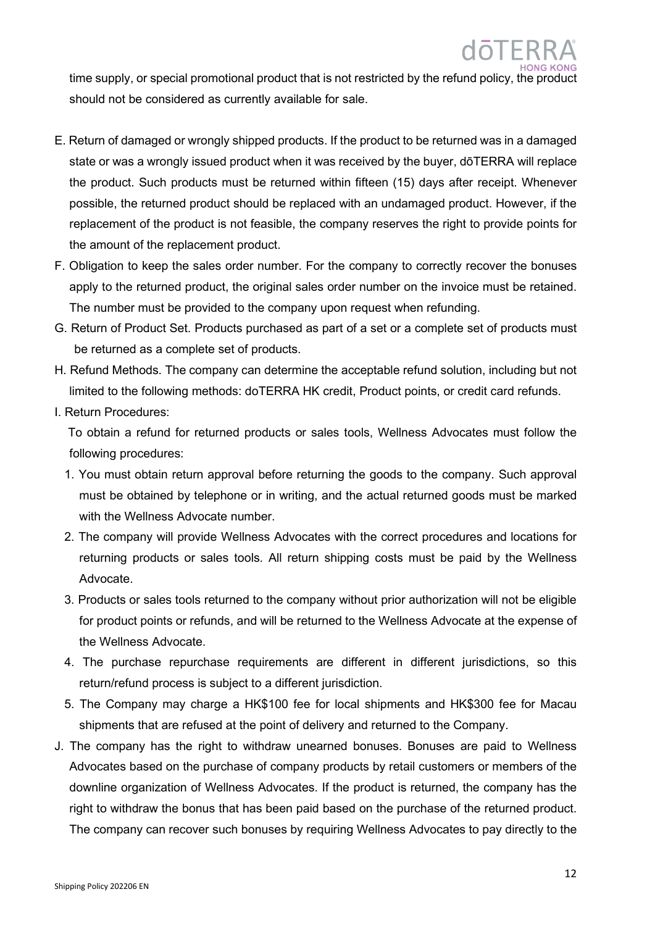time supply, or special promotional product that is not restricted by the refund policy, the product should not be considered as currently available for sale.

- E. Return of damaged or wrongly shipped products. If the product to be returned was in a damaged state or was a wrongly issued product when it was received by the buyer, dōTERRA will replace the product. Such products must be returned within fifteen (15) days after receipt. Whenever possible, the returned product should be replaced with an undamaged product. However, if the replacement of the product is not feasible, the company reserves the right to provide points for the amount of the replacement product.
- F. Obligation to keep the sales order number. For the company to correctly recover the bonuses apply to the returned product, the original sales order number on the invoice must be retained. The number must be provided to the company upon request when refunding.
- G. Return of Product Set. Products purchased as part of a set or a complete set of products must be returned as a complete set of products.
- H. Refund Methods. The company can determine the acceptable refund solution, including but not limited to the following methods: doTERRA HK credit, Product points, or credit card refunds.
- I. Return Procedures:

 To obtain a refund for returned products or sales tools, Wellness Advocates must follow the following procedures:

- 1. You must obtain return approval before returning the goods to the company. Such approval must be obtained by telephone or in writing, and the actual returned goods must be marked with the Wellness Advocate number.
- 2. The company will provide Wellness Advocates with the correct procedures and locations for returning products or sales tools. All return shipping costs must be paid by the Wellness Advocate.
- 3. Products or sales tools returned to the company without prior authorization will not be eligible for product points or refunds, and will be returned to the Wellness Advocate at the expense of the Wellness Advocate.
- 4. The purchase repurchase requirements are different in different jurisdictions, so this return/refund process is subject to a different jurisdiction.
- 5. The Company may charge a HK\$100 fee for local shipments and HK\$300 fee for Macau shipments that are refused at the point of delivery and returned to the Company.
- J. The company has the right to withdraw unearned bonuses. Bonuses are paid to Wellness Advocates based on the purchase of company products by retail customers or members of the downline organization of Wellness Advocates. If the product is returned, the company has the right to withdraw the bonus that has been paid based on the purchase of the returned product. The company can recover such bonuses by requiring Wellness Advocates to pay directly to the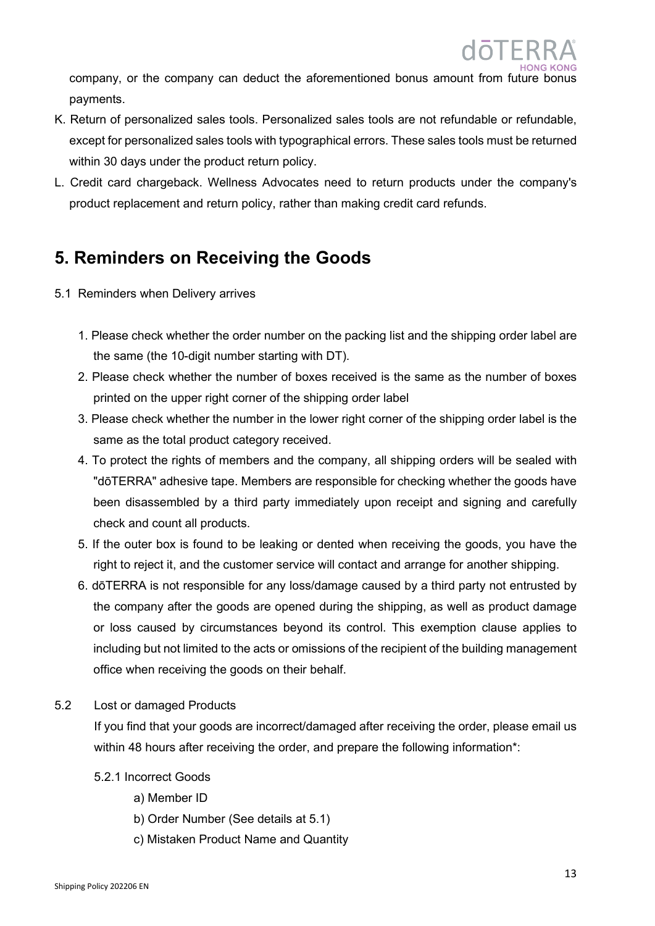company, or the company can deduct the aforementioned bonus amount from future bonus payments.

- K. Return of personalized sales tools. Personalized sales tools are not refundable or refundable, except for personalized sales tools with typographical errors. These sales tools must be returned within 30 days under the product return policy.
- L. Credit card chargeback. Wellness Advocates need to return products under the company's product replacement and return policy, rather than making credit card refunds.

### <span id="page-12-0"></span>**5. Reminders on Receiving the Goods**

- <span id="page-12-1"></span>5.1 Reminders when Delivery arrives
	- 1. Please check whether the order number on the packing list and the shipping order label are the same (the 10-digit number starting with DT).
	- 2. Please check whether the number of boxes received is the same as the number of boxes printed on the upper right corner of the shipping order label
	- 3. Please check whether the number in the lower right corner of the shipping order label is the same as the total product category received.
	- 4. To protect the rights of members and the company, all shipping orders will be sealed with "dōTERRA" adhesive tape. Members are responsible for checking whether the goods have been disassembled by a third party immediately upon receipt and signing and carefully check and count all products.
	- 5. If the outer box is found to be leaking or dented when receiving the goods, you have the right to reject it, and the customer service will contact and arrange for another shipping.
	- 6. dōTERRA is not responsible for any loss/damage caused by a third party not entrusted by the company after the goods are opened during the shipping, as well as product damage or loss caused by circumstances beyond its control. This exemption clause applies to including but not limited to the acts or omissions of the recipient of the building management office when receiving the goods on their behalf.
- <span id="page-12-2"></span>5.2 Lost or damaged Products

If you find that your goods are incorrect/damaged after receiving the order, please email us within 48 hours after receiving the order, and prepare the following information\*:

- <span id="page-12-3"></span>5.2.1 Incorrect Goods
	- a) Member ID
	- b) Order Number (See details at 5.1)
	- c) Mistaken Product Name and Quantity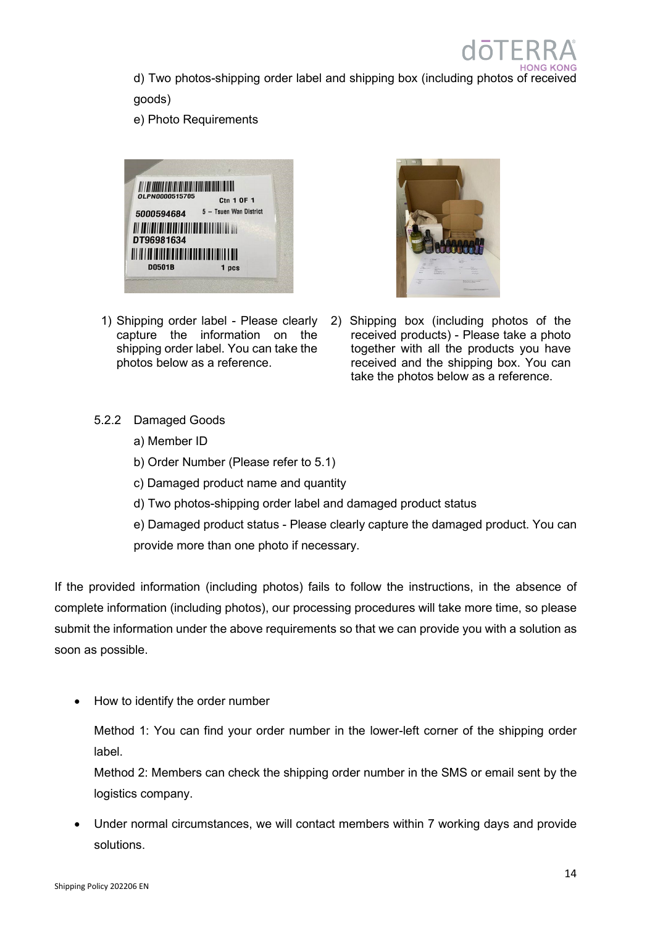d) Two photos-shipping order label and shipping box (including photos of received goods)

e) Photo Requirements



1) Shipping order label - Please clearly capture the information on the shipping order label. You can take the photos below as a reference.



2) Shipping box (including photos of the received products) - Please take a photo together with all the products you have received and the shipping box. You can take the photos below as a reference.

- <span id="page-13-0"></span>5.2.2 Damaged Goods
	- a) Member ID
	- b) Order Number (Please refer to 5.1)
	- c) Damaged product name and quantity
	- d) Two photos-shipping order label and damaged product status
	- e) Damaged product status Please clearly capture the damaged product. You can provide more than one photo if necessary.

If the provided information (including photos) fails to follow the instructions, in the absence of complete information (including photos), our processing procedures will take more time, so please submit the information under the above requirements so that we can provide you with a solution as soon as possible.

• How to identify the order number

Method 1: You can find your order number in the lower-left corner of the shipping order label.

Method 2: Members can check the shipping order number in the SMS or email sent by the logistics company.

• Under normal circumstances, we will contact members within 7 working days and provide solutions.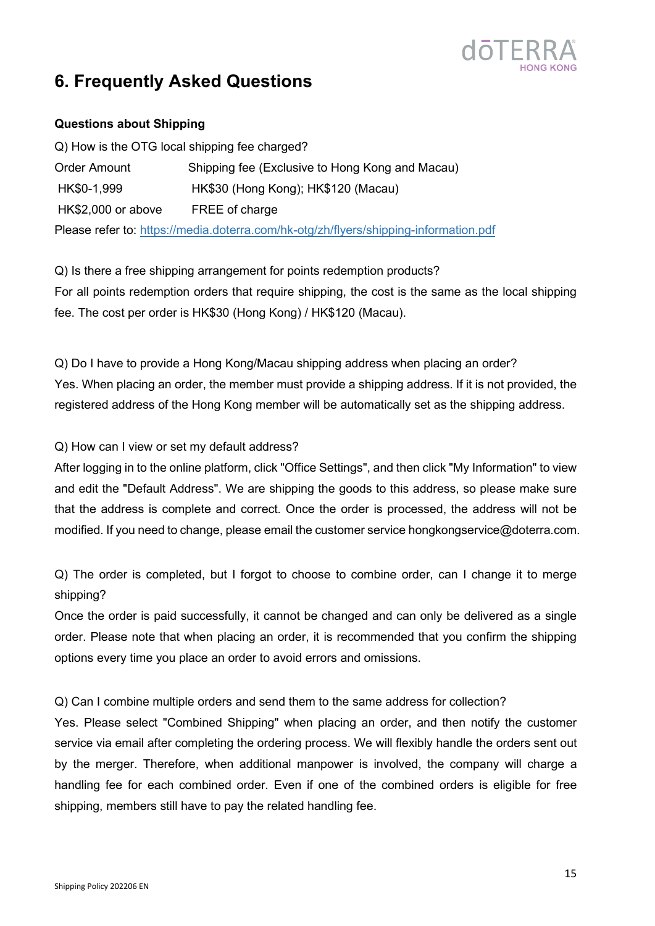

### <span id="page-14-0"></span>**6. Frequently Asked Questions**

#### <span id="page-14-1"></span>**Questions about Shipping**

<span id="page-14-2"></span>

| Q) How is the OTG local shipping fee charged? |                                                                                      |
|-----------------------------------------------|--------------------------------------------------------------------------------------|
| <b>Order Amount</b>                           | Shipping fee (Exclusive to Hong Kong and Macau)                                      |
| HK\$0-1,999                                   | HK\$30 (Hong Kong); HK\$120 (Macau)                                                  |
| HK\$2,000 or above                            | FREE of charge                                                                       |
|                                               | Please refer to: https://media.doterra.com/hk-otg/zh/flyers/shipping-information.pdf |

<span id="page-14-3"></span>Q) Is there a free shipping arrangement for points redemption products? For all points redemption orders that require shipping, the cost is the same as the local shipping fee. The cost per order is HK\$30 (Hong Kong) / HK\$120 (Macau).

<span id="page-14-4"></span>Q) Do I have to provide a Hong Kong/Macau shipping address when placing an order? Yes. When placing an order, the member must provide a shipping address. If it is not provided, the registered address of the Hong Kong member will be automatically set as the shipping address.

Q) How can I view or set my default address?

After logging in to the online platform, click "Office Settings", and then click "My Information" to view and edit the "Default Address". We are shipping the goods to this address, so please make sure that the address is complete and correct. Once the order is processed, the address will not be modified. If you need to change, please email the customer service hongkongservice@doterra.com.

<span id="page-14-5"></span>Q) The order is completed, but I forgot to choose to combine order, can I change it to merge shipping?

Once the order is paid successfully, it cannot be changed and can only be delivered as a single order. Please note that when placing an order, it is recommended that you confirm the shipping options every time you place an order to avoid errors and omissions.

<span id="page-14-6"></span>Q) Can I combine multiple orders and send them to the same address for collection?

Yes. Please select "Combined Shipping" when placing an order, and then notify the customer service via email after completing the ordering process. We will flexibly handle the orders sent out by the merger. Therefore, when additional manpower is involved, the company will charge a handling fee for each combined order. Even if one of the combined orders is eligible for free shipping, members still have to pay the related handling fee.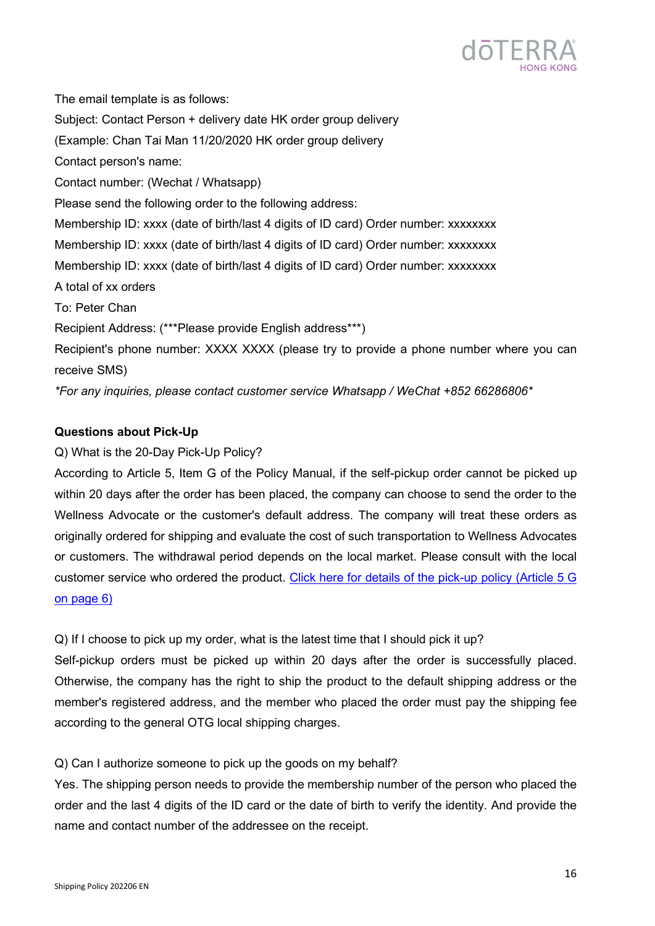

The email template is as follows: Subject: Contact Person + delivery date HK order group delivery (Example: Chan Tai Man 11/20/2020 HK order group delivery Contact person's name: Contact number: (Wechat / Whatsapp) Please send the following order to the following address: Membership ID: xxxx (date of birth/last 4 digits of ID card) Order number: xxxxxxxx Membership ID: xxxx (date of birth/last 4 digits of ID card) Order number: xxxxxxxx Membership ID: xxxx (date of birth/last 4 digits of ID card) Order number: xxxxxxxx A total of xx orders To: Peter Chan Recipient Address: (\*\*\*Please provide English address\*\*\*) Recipient's phone number: XXXX XXXX (please try to provide a phone number where you can receive SMS) *\*For any inquiries, please contact customer service Whatsapp / WeChat +852 66286806\**

#### <span id="page-15-0"></span>**Questions about Pick-Up**

#### <span id="page-15-1"></span>Q) What is the 20-Day Pick-Up Policy?

According to Article 5, Item G of the Policy Manual, if the self-pickup order cannot be picked up within 20 days after the order has been placed, the company can choose to send the order to the Wellness Advocate or the customer's default address. The company will treat these orders as originally ordered for shipping and evaluate the cost of such transportation to Wellness Advocates or customers. The withdrawal period depends on the local market. Please consult with the local customer service who ordered the product. [Click here for details of the pick-up](https://media.doterra.com/hk-otg/en/brochures/policy-manual.pdf) policy (Article 5 G [on page 6\)](https://media.doterra.com/hk-otg/en/brochures/policy-manual.pdf)

<span id="page-15-2"></span>Q) If I choose to pick up my order, what is the latest time that I should pick it up?

Self-pickup orders must be picked up within 20 days after the order is successfully placed. Otherwise, the company has the right to ship the product to the default shipping address or the member's registered address, and the member who placed the order must pay the shipping fee according to the general OTG local shipping charges.

#### <span id="page-15-3"></span>Q) Can I authorize someone to pick up the goods on my behalf?

Yes. The shipping person needs to provide the membership number of the person who placed the order and the last 4 digits of the ID card or the date of birth to verify the identity. And provide the name and contact number of the addressee on the receipt.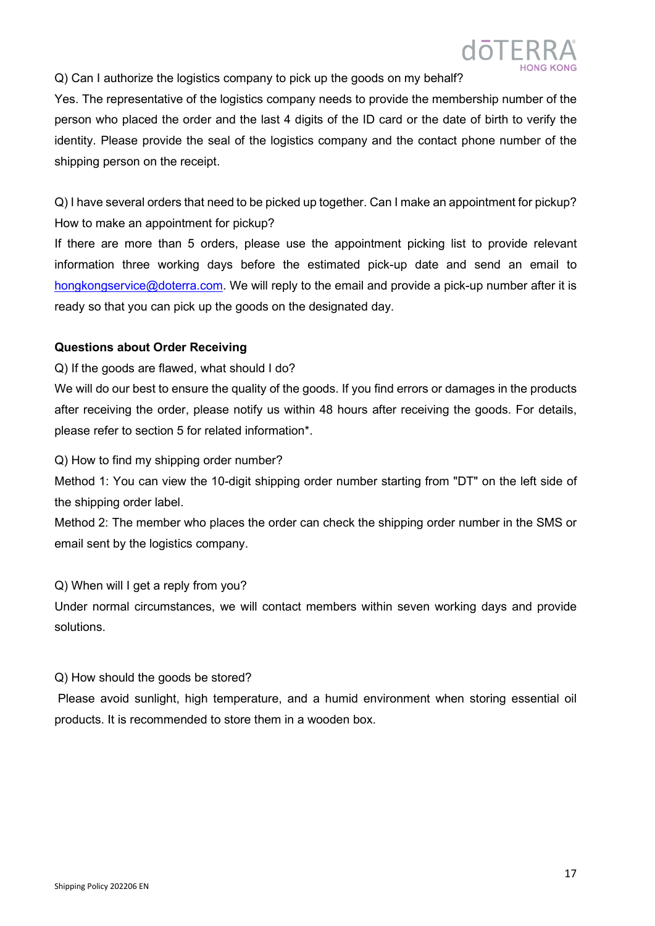

<span id="page-16-0"></span>Q) Can I authorize the logistics company to pick up the goods on my behalf?

Yes. The representative of the logistics company needs to provide the membership number of the person who placed the order and the last 4 digits of the ID card or the date of birth to verify the identity. Please provide the seal of the logistics company and the contact phone number of the shipping person on the receipt.

<span id="page-16-1"></span>Q) I have several orders that need to be picked up together. Can I make an appointment for pickup? How to make an appointment for pickup?

If there are more than 5 orders, please use the appointment picking list to provide relevant information three working days before the estimated pick-up date and send an email to [hongkongservice@doterra.com.](mailto:hongkongservice@doterra.com) We will reply to the email and provide a pick-up number after it is ready so that you can pick up the goods on the designated day.

#### <span id="page-16-2"></span>**Questions about Order Receiving**

<span id="page-16-3"></span>Q) If the goods are flawed, what should I do?

We will do our best to ensure the quality of the goods. If you find errors or damages in the products after receiving the order, please notify us within 48 hours after receiving the goods. For details, please refer to section 5 for related information\*.

<span id="page-16-4"></span>Q) How to find my shipping order number?

Method 1: You can view the 10-digit shipping order number starting from "DT" on the left side of the shipping order label.

Method 2: The member who places the order can check the shipping order number in the SMS or email sent by the logistics company.

Q) When will I get a reply from you?

Under normal circumstances, we will contact members within seven working days and provide solutions.

#### <span id="page-16-5"></span>Q) How should the goods be stored?

Please avoid sunlight, high temperature, and a humid environment when storing essential oil products. It is recommended to store them in a wooden box.